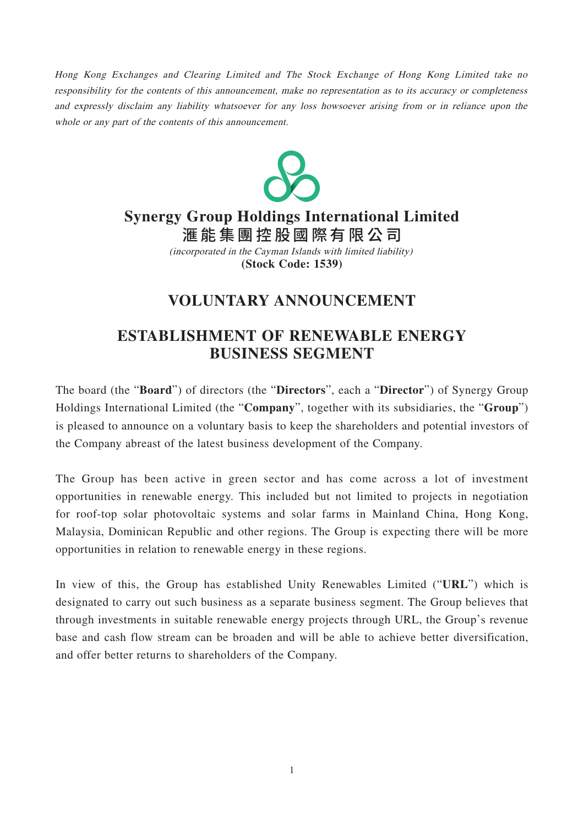Hong Kong Exchanges and Clearing Limited and The Stock Exchange of Hong Kong Limited take no responsibility for the contents of this announcement, make no representation as to its accuracy or completeness and expressly disclaim any liability whatsoever for any loss howsoever arising from or in reliance upon the whole or any part of the contents of this announcement.



## **Synergy Group Holdings International Limited**

滙能集團控股國際有限 公 司 (incorporated in the Cayman Islands with limited liability)

**(Stock Code: 1539)**

## **VOLUNTARY ANNOUNCEMENT**

## **ESTABLISHMENT OF RENEWABLE ENERGY BUSINESS SEGMENT**

The board (the "**Board**") of directors (the "**Directors**", each a "**Director**") of Synergy Group Holdings International Limited (the "**Company**", together with its subsidiaries, the "**Group**") is pleased to announce on a voluntary basis to keep the shareholders and potential investors of the Company abreast of the latest business development of the Company.

The Group has been active in green sector and has come across a lot of investment opportunities in renewable energy. This included but not limited to projects in negotiation for roof-top solar photovoltaic systems and solar farms in Mainland China, Hong Kong, Malaysia, Dominican Republic and other regions. The Group is expecting there will be more opportunities in relation to renewable energy in these regions.

In view of this, the Group has established Unity Renewables Limited ("**URL**") which is designated to carry out such business as a separate business segment. The Group believes that through investments in suitable renewable energy projects through URL, the Group's revenue base and cash flow stream can be broaden and will be able to achieve better diversification, and offer better returns to shareholders of the Company.